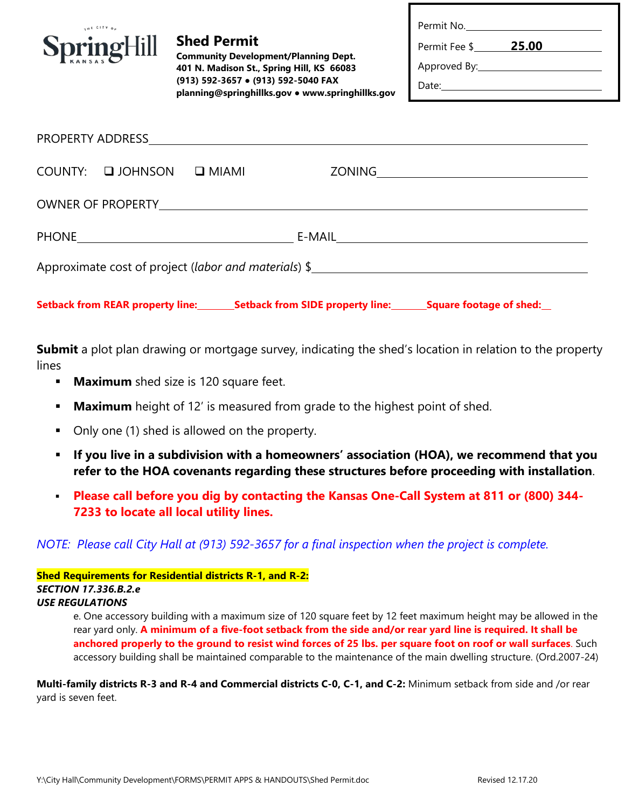| Permit No.       |       |  |
|------------------|-------|--|
| Permit Fee \$    | 25.00 |  |
| Approved By:____ |       |  |

Date:

| <b>SpringHill</b> |  |  |
|-------------------|--|--|

us CITY A

**Shed Permit**

**Community Development/Planning Dept. 401 N. Madison St., Spring Hill, KS 66083 (913) 592-3657 ● (913) 592-5040 FAX planning@springhillks.gov ● www.springhillks.gov**

|  | COUNTY: QUOHNSON Q MIAMI |  |  |  |  |  |  |  |
|--|--------------------------|--|--|--|--|--|--|--|
|  |                          |  |  |  |  |  |  |  |
|  |                          |  |  |  |  |  |  |  |
|  |                          |  |  |  |  |  |  |  |
|  |                          |  |  |  |  |  |  |  |

**Setback from REAR property line: Setback from SIDE property line: Square footage of shed:** 

**Submit** a plot plan drawing or mortgage survey, indicating the shed's location in relation to the property lines

- **Maximum** shed size is 120 square feet.
- **Maximum** height of 12' is measured from grade to the highest point of shed.
- Only one (1) shed is allowed on the property.
- **If you live in a subdivision with a homeowners' association (HOA), we recommend that you refer to the HOA covenants regarding these structures before proceeding with installation**.
- **Please call before you dig by contacting the Kansas One-Call System at 811 or (800) 344- 7233 to locate all local utility lines.**

*NOTE: Please call City Hall at (913) 592-3657 for a final inspection when the project is complete.*

**Shed Requirements for Residential districts R-1, and R-2:** *SECTION 17.336.B.2.e USE REGULATIONS*

> e. One accessory building with a maximum size of 120 square feet by 12 feet maximum height may be allowed in the rear yard only. **A minimum of a five-foot setback from the side and/or rear yard line is required. It shall be anchored properly to the ground to resist wind forces of 25 lbs. per square foot on roof or wall surfaces**. Such accessory building shall be maintained comparable to the maintenance of the main dwelling structure. (Ord.2007-24)

**Multi-family districts R-3 and R-4 and Commercial districts C-0, C-1, and C-2:** Minimum setback from side and /or rear yard is seven feet.